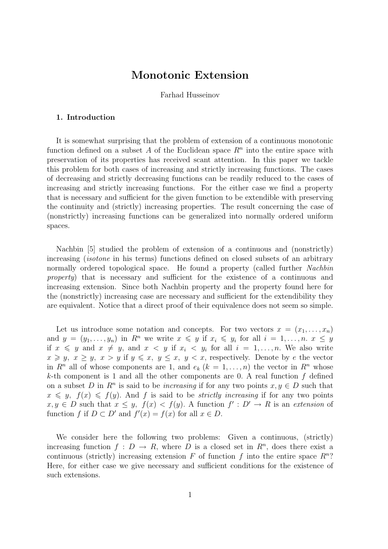# Monotonic Extension

Farhad Husseinov

### 1. Introduction

It is somewhat surprising that the problem of extension of a continuous monotonic function defined on a subset A of the Euclidean space  $R<sup>n</sup>$  into the entire space with preservation of its properties has received scant attention. In this paper we tackle this problem for both cases of increasing and strictly increasing functions. The cases of decreasing and strictly decreasing functions can be readily reduced to the cases of increasing and strictly increasing functions. For the either case we find a property that is necessary and sufficient for the given function to be extendible with preserving the continuity and (strictly) increasing properties. The result concerning the case of (nonstrictly) increasing functions can be generalized into normally ordered uniform spaces.

Nachbin [5] studied the problem of extension of a continuous and (nonstrictly) increasing (isotone in his terms) functions defined on closed subsets of an arbitrary normally ordered topological space. He found a property (called further Nachbin property) that is necessary and sufficient for the existence of a continuous and increasing extension. Since both Nachbin property and the property found here for the (nonstrictly) increasing case are necessary and sufficient for the extendibility they are equivalent. Notice that a direct proof of their equivalence does not seem so simple.

Let us introduce some notation and concepts. For two vectors  $x = (x_1, \ldots, x_n)$ and  $y = (y_1, \ldots, y_n)$  in  $R^n$  we write  $x \leq y$  if  $x_i \leq y_i$  for all  $i = 1, \ldots, n$ .  $x \leq y$ if  $x \leq y$  and  $x \neq y$ , and  $x < y$  if  $x_i < y_i$  for all  $i = 1, \ldots, n$ . We also write  $x \geq y, x \geq y, x > y$  if  $y \leq x, y \leq x, y < x$ , respectively. Denote by e the vector in  $R^n$  all of whose components are 1, and  $e_k$   $(k = 1, \ldots, n)$  the vector in  $R^n$  whose k-th component is 1 and all the other components are 0. A real function  $f$  defined on a subset D in  $\mathbb{R}^n$  is said to be *increasing* if for any two points  $x, y \in D$  such that  $x \leq y$ ,  $f(x) \leq f(y)$ . And f is said to be *strictly increasing* if for any two points  $x, y \in D$  such that  $x \leq y$ ,  $f(x) < f(y)$ . A function  $f' : D' \to R$  is an extension of function f if  $D \subset D'$  and  $f'(x) = f(x)$  for all  $x \in D$ .

We consider here the following two problems: Given a continuous, (strictly) increasing function  $f: D \to R$ , where D is a closed set in  $R<sup>n</sup>$ , does there exist a continuous (strictly) increasing extension F of function f into the entire space  $R^n$ ? Here, for either case we give necessary and sufficient conditions for the existence of such extensions.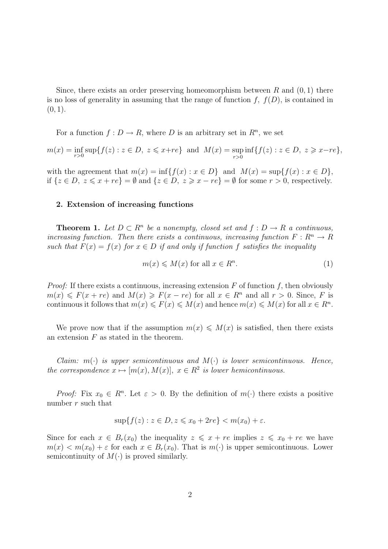Since, there exists an order preserving homeomorphism between  $R$  and  $(0, 1)$  there is no loss of generality in assuming that the range of function  $f, f(D)$ , is contained in  $(0, 1)$ .

For a function  $f: D \to R$ , where D is an arbitrary set in  $R<sup>n</sup>$ , we set

$$
m(x) = \inf_{r>0} \sup \{ f(z) : z \in D, \ z \leq x + re \} \text{ and } M(x) = \sup_{r>0} \inf \{ f(z) : z \in D, \ z \geq x - re \},
$$

with the agreement that  $m(x) = \inf\{f(x) : x \in D\}$  and  $M(x) = \sup\{f(x) : x \in D\}$ , if  $\{z \in D, z \leq x + re\} = \emptyset$  and  $\{z \in D, z \geq x - re\} = \emptyset$  for some  $r > 0$ , respectively.

#### 2. Extension of increasing functions

**Theorem 1.** Let  $D \subset R^n$  be a nonempty, closed set and  $f : D \to R$  a continuous, increasing function. Then there exists a continuous, increasing function  $F: \mathbb{R}^n \to \mathbb{R}$ such that  $F(x) = f(x)$  for  $x \in D$  if and only if function f satisfies the inequality

$$
m(x) \leqslant M(x) \text{ for all } x \in R^n. \tag{1}
$$

*Proof:* If there exists a continuous, increasing extension  $F$  of function  $f$ , then obviously  $m(x) \leq F(x + re)$  and  $M(x) \geq F(x - re)$  for all  $x \in R^n$  and all  $r > 0$ . Since, F is continuous it follows that  $m(x) \leq F(x) \leq M(x)$  and hence  $m(x) \leq M(x)$  for all  $x \in R^n$ .

We prove now that if the assumption  $m(x) \leq M(x)$  is satisfied, then there exists an extension  $F$  as stated in the theorem.

Claim:  $m(\cdot)$  is upper semicontinuous and  $M(\cdot)$  is lower semicontinuous. Hence, the correspondence  $x \mapsto [m(x), M(x)], x \in \mathbb{R}^2$  is lower hemicontinuous.

Proof: Fix  $x_0 \in R^n$ . Let  $\varepsilon > 0$ . By the definition of  $m(\cdot)$  there exists a positive number  $r$  such that

$$
\sup\{f(z): z \in D, z \leqslant x_0 + 2re\} < m(x_0) + \varepsilon.
$$

Since for each  $x \in B_r(x_0)$  the inequality  $z \leqslant x + re$  implies  $z \leqslant x_0 + re$  we have  $m(x) < m(x_0) + \varepsilon$  for each  $x \in B_r(x_0)$ . That is  $m(\cdot)$  is upper semicontinuous. Lower semicontinuity of  $M(\cdot)$  is proved similarly.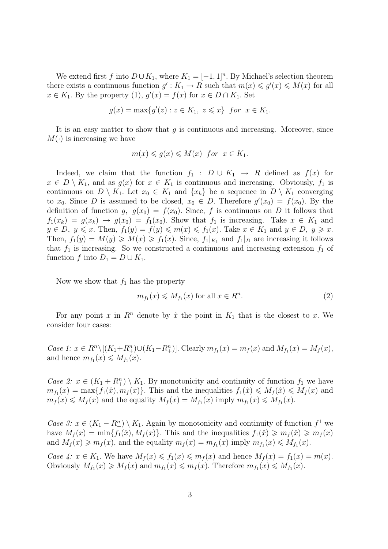We extend first f into  $D \cup K_1$ , where  $K_1 = [-1,1]^n$ . By Michael's selection theorem there exists a continuous function  $g': K_1 \to R$  such that  $m(x) \leqslant g'(x) \leqslant M(x)$  for all  $x \in K_1$ . By the property (1),  $g'(x) = f(x)$  for  $x \in D \cap K_1$ . Set

$$
g(x) = \max\{g'(z) : z \in K_1, z \leq x\}
$$
 for  $x \in K_1$ .

It is an easy matter to show that  $g$  is continuous and increasing. Moreover, since  $M(\cdot)$  is increasing we have

$$
m(x) \leqslant g(x) \leqslant M(x) \ \text{for} \ \ x \in K_1.
$$

Indeed, we claim that the function  $f_1 : D \cup K_1 \rightarrow R$  defined as  $f(x)$  for  $x \in D \setminus K_1$ , and as  $g(x)$  for  $x \in K_1$  is continuous and increasing. Obviously,  $f_1$  is continuous on  $D \setminus K_1$ . Let  $x_0 \in K_1$  and  $\{x_k\}$  be a sequence in  $D \setminus K_1$  converging to  $x_0$ . Since D is assumed to be closed,  $x_0 \in D$ . Therefore  $g'(x_0) = f(x_0)$ . By the definition of function g,  $g(x_0) = f(x_0)$ . Since, f is continuous on D it follows that  $f_1(x_k) = g(x_k) \rightarrow g(x_0) = f_1(x_0)$ . Show that  $f_1$  is increasing. Take  $x \in K_1$  and  $y \in D, y \leq x$ . Then,  $f_1(y) = f(y) \leq m(x) \leq f_1(x)$ . Take  $x \in K_1$  and  $y \in D, y \geq x$ . Then,  $f_1(y) = M(y) \geq M(x) \geq f_1(x)$ . Since,  $f_1|_{K_1}$  and  $f_1|_{D}$  are increasing it follows that  $f_1$  is increasing. So we constructed a continuous and increasing extension  $f_1$  of function f into  $D_1 = D \cup K_1$ .

Now we show that  $f_1$  has the property

$$
m_{f_1}(x) \leqslant M_{f_1}(x) \text{ for all } x \in R^n. \tag{2}
$$

For any point x in  $\mathbb{R}^n$  denote by  $\hat{x}$  the point in  $K_1$  that is the closest to x. We consider four cases:

*Case 1:*  $x \in R^n \setminus [(K_1 + R_+^n) \cup (K_1 - R_+^n)]$ . Clearly  $m_{f_1}(x) = m_f(x)$  and  $M_{f_1}(x) = M_f(x)$ , and hence  $m_{f_1}(x) \leq M_{f_1}(x)$ .

Case 2:  $x \in (K_1 + R_+^n) \setminus K_1$ . By monotonicity and continuity of function  $f_1$  we have  $m_{f_1}(x) = \max\{f_1(\hat{x}), f_1(x)\}.$  This and the inequalities  $f_1(\hat{x}) \leq M_f(\hat{x}) \leq M_f(x)$  and  $m_f(x) \leqslant M_f(x)$  and the equality  $M_f(x) = M_{f_1}(x)$  imply  $m_{f_1}(x) \leqslant M_{f_1}(x)$ .

Case 3:  $x \in (K_1 - R_+^n) \setminus K_1$ . Again by monotonicity and continuity of function  $f^1$  we have  $M_f(x) = \min\{f_1(\hat{x}), M_f(x)\}\$ . This and the inequalities  $f_1(\hat{x}) \geq m_f(\hat{x}) \geq m_f(x)$ and  $M_f(x) \geq m_f(x)$ , and the equality  $m_f(x) = m_{f_1}(x)$  imply  $m_{f_1}(x) \leq M_{f_1}(x)$ .

Case 4:  $x \in K_1$ . We have  $M_f(x) \leqslant f_1(x) \leqslant m_f(x)$  and hence  $M_f(x) = f_1(x) = m(x)$ . Obviously  $M_{f_1}(x) \geq M_f(x)$  and  $m_{f_1}(x) \leq m_f(x)$ . Therefore  $m_{f_1}(x) \leq M_{f_1}(x)$ .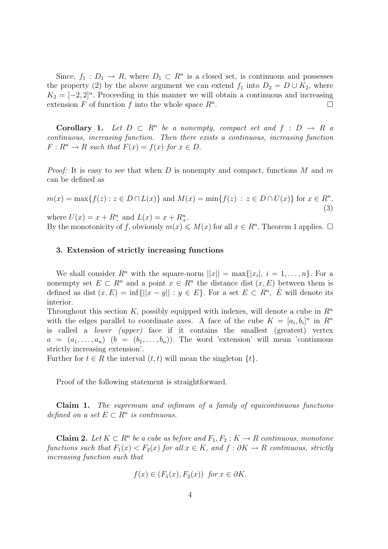Since,  $f_1: D_1 \to R$ , where  $D_1 \subset R^n$  is a closed set, is continuous and possesses the property (2) by the above argument we can extend  $f_1$  into  $D_2 = D \cup K_2$ , where  $K_2 = [-2, 2]^n$ . Proceeding in this manner we will obtain a continuous and increasing extension F of function f into the whole space  $R^n$ . .

**Corollary 1.** Let  $D \subset R^n$  be a nonempty, compact set and  $f : D \to R$  a continuous, increasing function. Then there exists a continuous, increasing function  $F: R^n \to R$  such that  $F(x) = f(x)$  for  $x \in D$ .

*Proof:* It is easy to see that when D is nonempty and compact, functions M and m can be defined as

$$
m(x) = \max\{f(z) : z \in D \cap L(x)\} \text{ and } M(x) = \min\{f(z) : z \in D \cap U(x)\} \text{ for } x \in R^n,
$$
\n(3)

where  $U(x) = x + R_ -^n$  and  $L(x) = x + R_ +^n$ . By the monotonicity of f, obviously  $m(x) \leq M(x)$  for all  $x \in R<sup>n</sup>$ . Theorem 1 applies.  $\Box$ 

### 3. Extension of strictly increasing functions

We shall consider  $R^n$  with the square-norm  $||x|| = \max\{|x_i|, i = 1, \ldots, n\}$ . For a nonempty set  $E \subset R^n$  and a point  $x \in R^n$  the distance dist  $(x, E)$  between them is defined as dist  $(x, E) = \inf\{||x - y|| : y \in E\}$ . For a set  $E \subset R^n$ ,  $\overset{\circ}{E}$  will denote its interior.

Throughout this section K, possibly equipped with indexes, will denote a cube in  $\mathbb{R}^n$ with the edges parallel to coordinate axes. A face of the cube  $K = [a_i, b_i]^n$  in  $R^n$ is called a lower (upper) face if it contains the smallest (greatest) vertex  $a = (a_1, \ldots, a_n)$   $(b = (b_1, \ldots, b_n))$ . The word 'extension' will mean 'continuous strictly increasing extension'.

Further for  $t \in R$  the interval  $(t, t)$  will mean the singleton  $\{t\}.$ 

Proof of the following statement is straightforward.

Claim 1. The supremum and infimum of a family of equicontinuous functions defined on a set  $E \subset R^n$  is continuous.

**Claim 2.** Let  $K \subset \mathbb{R}^n$  be a cube as before and  $F_1, F_2: K \to \mathbb{R}$  continuous, monotone functions such that  $F_1(x) < F_2(x)$  for all  $x \in K$ , and  $f : \partial K \to R$  continuous, strictly increasing function such that

$$
f(x) \in (F_1(x), F_2(x)) \text{ for } x \in \partial K.
$$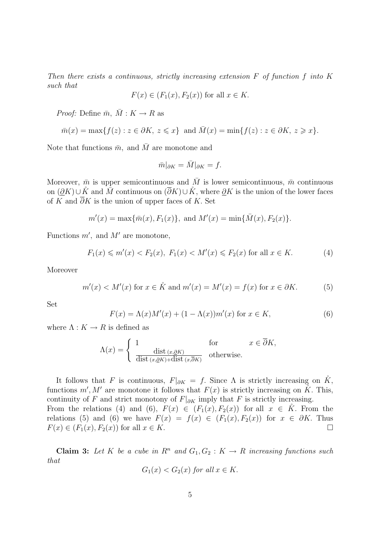Then there exists a continuous, strictly increasing extension  $F$  of function  $f$  into  $K$ such that

$$
F(x) \in (F_1(x), F_2(x))
$$
 for all  $x \in K$ .

*Proof:* Define  $\bar{m}$ ,  $\bar{M}$  :  $K \rightarrow R$  as

$$
\bar{m}(x) = \max\{f(z) : z \in \partial K, z \leq x\} \text{ and } \bar{M}(x) = \min\{f(z) : z \in \partial K, z \geq x\}.
$$

Note that functions  $\bar{m}$ , and  $\bar{M}$  are monotone and

$$
\bar{m}|_{\partial K} = \bar{M}|_{\partial K} = f.
$$

Moreover,  $\bar{m}$  is upper semicontinuous and  $\bar{M}$  is lower semicontinuous,  $\bar{m}$  continuous on  $(\partial K) \cup \tilde{K}$  and  $\overline{M}$  continuous on  $(\overline{\partial} K) \cup \tilde{K}$ , where  $\partial K$  is the union of the lower faces of K and  $\overline{\partial}K$  is the union of upper faces of K. Set

$$
m'(x) = \max{\lbrace \bar{m}(x), F_1(x) \rbrace}
$$
, and  $M'(x) = \min{\lbrace \bar{M}(x), F_2(x) \rbrace}$ .

Functions  $m'$ , and  $M'$  are monotone,

$$
F_1(x) \le m'(x) < F_2(x), F_1(x) < M'(x) \le F_2(x)
$$
 for all  $x \in K$ . (4)

Moreover

$$
m'(x) < M'(x) \text{ for } x \in \mathring{K} \text{ and } m'(x) = M'(x) = f(x) \text{ for } x \in \partial K. \tag{5}
$$

Set

$$
F(x) = \Lambda(x)M'(x) + (1 - \Lambda(x))m'(x) \text{ for } x \in K,
$$
\n(6)

where  $\Lambda: K \to R$  is defined as

$$
\Lambda(x) = \begin{cases} 1 & \text{for} \qquad x \in \overline{\partial}K, \\ \frac{\text{dist}(x, \partial K)}{\text{dist}(x, \partial K) + \text{dist}(x, \overline{\partial}K)} & \text{otherwise.} \end{cases}
$$

It follows that F is continuous,  $F|_{\partial K} = f$ . Since  $\Lambda$  is strictly increasing on  $\check{K}$ , functions  $m', M'$  are monotone it follows that  $F(x)$  is strictly increasing on  $\tilde{K}$ . This, continuity of F and strict monotony of  $F|_{\partial K}$  imply that F is strictly increasing. From the relations (4) and (6),  $F(x) \in (F_1(x), F_2(x))$  for all  $x \in K$ . From the relations (5) and (6) we have  $F(x) = f(x) \in (F_1(x), F_2(x))$  for  $x \in \partial K$ . Thus  $F(x) \in (F_1(x), F_2(x))$  for all  $x \in K$ .

Claim 3: Let K be a cube in  $R^n$  and  $G_1, G_2 : K \to R$  increasing functions such that

$$
G_1(x) < G_2(x) \text{ for all } x \in K.
$$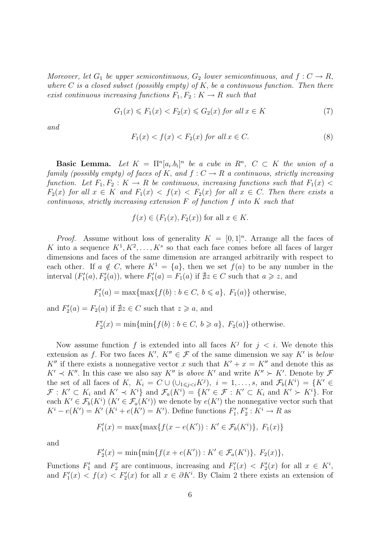Moreover, let  $G_1$  be upper semicontinuous,  $G_2$  lower semicontinuous, and  $f: C \to R$ , where C is a closed subset (possibly empty) of K, be a continuous function. Then there exist continuous increasing functions  $F_1, F_2 : K \to R$  such that

$$
G_1(x) \le F_1(x) < F_2(x) \le G_2(x) \text{ for all } x \in K \tag{7}
$$

and

$$
F_1(x) < f(x) < F_2(x) \text{ for all } x \in C. \tag{8}
$$

**Basic Lemma.** Let  $K = \prod^n [a_i, b_i]^n$  be a cube in  $R^n$ ,  $C \subset K$  the union of a family (possibly empty) of faces of K, and  $f: C \to R$  a continuous, strictly increasing function. Let  $F_1, F_2 : K \to R$  be continuous, increasing functions such that  $F_1(x)$  $F_2(x)$  for all  $x \in K$  and  $F_1(x) < f(x) < F_2(x)$  for all  $x \in C$ . Then there exists a continuous, strictly increasing extension  $F$  of function  $f$  into  $K$  such that

$$
f(x) \in (F_1(x), F_2(x))
$$
 for all  $x \in K$ .

*Proof.* Assume without loss of generality  $K = [0,1]^n$ . Arrange all the faces of K into a sequence  $K^1, K^2, \ldots, K^s$  so that each face comes before all faces of larger dimensions and faces of the same dimension are arranged arbitrarily with respect to each other. If  $a \notin C$ , where  $K^1 = \{a\}$ , then we set  $f(a)$  to be any number in the interval  $(F'_1(a), F'_2(a))$ , where  $F'_1(a) = F_1(a)$  if  $\sharp z \in C$  such that  $a \geq z$ , and

$$
F_1'(a) = \max\{\max\{f(b) : b \in C, b \leq a\}, F_1(a)\}\
$$
 otherwise,

and  $F'_2(a) = F_2(a)$  if  $\sharp z \in C$  such that  $z \geqslant a$ , and

$$
F_2'(x) = \min\{\min\{f(b) : b \in C, b \ge a\}, F_2(a)\}\
$$
 otherwise.

Now assume function f is extended into all faces  $K^j$  for  $j < i$ . We denote this extension as f. For two faces  $K'$ ,  $K'' \in \mathcal{F}$  of the same dimension we say K' is below K<sup>n</sup> if there exists a nonnegative vector x such that  $K' + x = K''$  and denote this as  $K' \prec K''$ . In this case we also say  $K''$  is above  $K'$  and write  $K'' \succ K'$ . Denote by  $\mathcal F$ the set of all faces of K,  $K_i = C \cup (\cup_{1 \leq j < i} K^j)$ ,  $i = 1, \ldots, s$ , and  $\mathcal{F}_b(K^i) = \{K' \in$  $\mathcal{F}: K' \subset K_i$  and  $K' \prec K^i$  and  $\mathcal{F}_a(K^i) = \{K' \in \mathcal{F}: K' \subset K_i \text{ and } K' \succ K^i\}.$  For each  $K' \in \mathcal{F}_b(K^i)$   $(K' \in \mathcal{F}_a(K^i))$  we denote by  $e(K')$  the nonnegative vector such that  $K^i - e(K') = K'$   $(K^i + e(K') = K')$ . Define functions  $F'_1, F'_2 : K^i \to R$  as

$$
F_1'(x) = \max\{\max\{f(x - e(K')) : K' \in \mathcal{F}_b(K^i)\}, F_1(x)\}\
$$

and

$$
F_2'(x) = \min\{\min\{f(x + e(K')) : K' \in \mathcal{F}_a(K^i)\}, F_2(x)\},\
$$

Functions  $F'_1$  and  $F'_2$  are continuous, increasing and  $F'_1(x) < F'_2(x)$  for all  $x \in K^i$ , and  $F_1'(x) < f(x) < F_2'(x)$  for all  $x \in \partial K^i$ . By Claim 2 there exists an extension of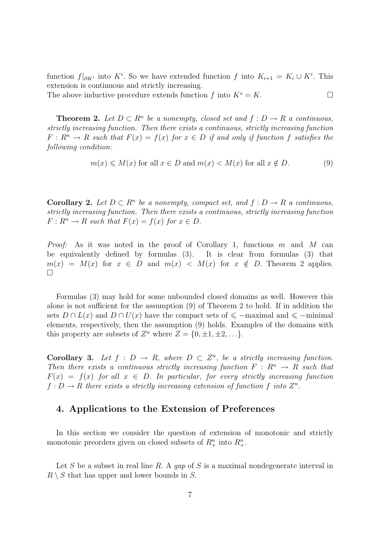function  $f|_{\partial K_i}$  into K<sup>i</sup>. So we have extended function f into  $K_{i+1} = K_i \cup K_i$ . This extension is continuous and strictly increasing.

The above inductive procedure extends function f into  $K^s = K$ .

**Theorem 2.** Let  $D \subset R^n$  be a nonempty, closed set and  $f : D \to R$  a continuous, strictly increasing function. Then there exists a continuous, strictly increasing function  $F: R^n \to R$  such that  $F(x) = f(x)$  for  $x \in D$  if and only if function f satisfies the following condition:

$$
m(x) \le M(x) \text{ for all } x \in D \text{ and } m(x) < M(x) \text{ for all } x \notin D. \tag{9}
$$

**Corollary 2.** Let  $D \subset \mathbb{R}^n$  be a nonempty, compact set, and  $f : D \to \mathbb{R}$  a continuous, strictly increasing function. Then there exists a continuous, strictly increasing function  $F: R^n \to R$  such that  $F(x) = f(x)$  for  $x \in D$ .

*Proof:* As it was noted in the proof of Corollary 1, functions  $m$  and  $M$  can be equivalently defined by formulas (3). It is clear from formulas (3) that  $m(x) = M(x)$  for  $x \in D$  and  $m(x) < M(x)$  for  $x \notin D$ . Theorem 2 applies.  $\Box$ 

Formulas (3) may hold for some unbounded closed domains as well. However this alone is not sufficient for the assumption (9) of Theorem 2 to hold. If in addition the sets  $D \cap L(x)$  and  $D \cap U(x)$  have the compact sets of  $\leq$  –maximal and  $\leq$  –minimal elements, respectively, then the assumption (9) holds. Examples of the domains with this property are subsets of  $Z^n$  where  $Z = \{0, \pm 1, \pm 2, \ldots\}.$ 

**Corollary 3.** Let  $f : D \to R$ , where  $D \subset Z^n$ , be a strictly increasing function. Then there exists a continuous strictly increasing function  $F: R^n \to R$  such that  $F(x) = f(x)$  for all  $x \in D$ . In particular, for every strictly increasing function  $f: D \to R$  there exists a strictly increasing extension of function f into  $Z^n$ .

# 4. Applications to the Extension of Preferences

In this section we consider the question of extension of monotonic and strictly monotonic preorders given on closed subsets of  $R^n_+$  into  $R^n_+$ .

Let S be a subset in real line R. A gap of S is a maximal nondegenerate interval in  $R \setminus S$  that has upper and lower bounds in S.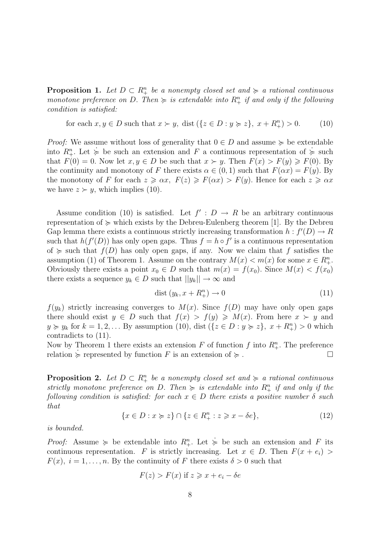**Proposition 1.** Let  $D \subset R_+^n$  be a nonempty closed set and  $\succcurlyeq$  a rational continuous monotone preference on D. Then  $\succcurlyeq$  is extendable into  $R^n_+$  if and only if the following condition is satisfied:

for each  $x, y \in D$  such that  $x \succ y$ , dist  $({z \in D : y \succ z}, x + R^n_+) > 0.$  (10)

*Proof:* We assume without loss of generality that  $0 \in D$  and assume  $\succcurlyeq$  be extendable into  $R^n_+$ . Let  $\succeq$  be such an extension and F a continuous representation of  $\succeq$  such that  $F(0) = 0$ . Now let  $x, y \in D$  be such that  $x \succ y$ . Then  $F(x) > F(y) \geq F(0)$ . By the continuity and monotony of F there exists  $\alpha \in (0,1)$  such that  $F(\alpha x) = F(y)$ . By the monotony of F for each  $z \geq \alpha x$ ,  $F(z) \geq F(\alpha x) > F(y)$ . Hence for each  $z \geq \alpha x$ we have  $z \succ y$ , which implies (10).

Assume condition (10) is satisfied. Let  $f' : D \to R$  be an arbitrary continuous representation of  $\succeq$  which exists by the Debreu-Eulenberg theorem [1]. By the Debreu Gap lemma there exists a continuous strictly increasing transformation  $h : f'(D) \to R$ such that  $h(f'(D))$  has only open gaps. Thus  $f = h \circ f'$  is a continuous representation of  $\succeq$  such that  $f(D)$  has only open gaps, if any. Now we claim that f satisfies the assumption (1) of Theorem 1. Assume on the contrary  $M(x) < m(x)$  for some  $x \in R_{+}^{n}$ . Obviously there exists a point  $x_0 \in D$  such that  $m(x) = f(x_0)$ . Since  $M(x) < f(x_0)$ there exists a sequence  $y_k \in D$  such that  $||y_k|| \to \infty$  and

$$
dist (y_k, x + R_+^n) \to 0 \tag{11}
$$

 $f(y_k)$  strictly increasing converges to  $M(x)$ . Since  $f(D)$  may have only open gaps there should exist  $y \in D$  such that  $f(x) > f(y) \geq M(x)$ . From here  $x \succ y$  and  $y \succcurlyeq y_k$  for  $k = 1, 2, \ldots$  By assumption (10), dist  $(\{z \in D : y \succcurlyeq z\}, x + R^n_{+}) > 0$  which contradicts to (11).

Now by Theorem 1 there exists an extension F of function f into  $R_+^n$ . The preference relation  $\succeq$  represented by function F is an extension of  $\succeq$ .

**Proposition 2.** Let  $D \subset R_+^n$  be a nonempty closed set and  $\succcurlyeq$  a rational continuous strictly monotone preference on D. Then  $\succcurlyeq$  is extendable into  $R_+^n$  if and only if the following condition is satisfied: for each  $x \in D$  there exists a positive number  $\delta$  such that

$$
\{x \in D : x \succcurlyeq z\} \cap \{z \in R_+^n : z \geqslant x - \delta e\},\tag{12}
$$

is bounded.

*Proof:* Assume  $\succeq$  be extendable into  $R_+^n$ . Let  $\succeq$  be such an extension and F its continuous representation. F is strictly increasing. Let  $x \in D$ . Then  $F(x + e_i)$  $F(x)$ ,  $i = 1, \ldots, n$ . By the continuity of F there exists  $\delta > 0$  such that

$$
F(z) > F(x) \text{ if } z \geq x + e_i - \delta e
$$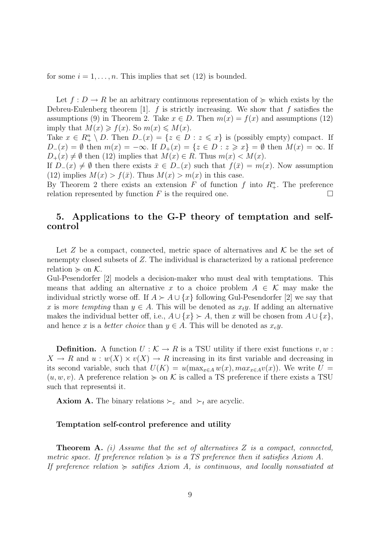for some  $i = 1, \ldots, n$ . This implies that set (12) is bounded.

Let  $f: D \to R$  be an arbitrary continuous representation of  $\succeq$  which exists by the Debreu-Eulenberg theorem [1].  $f$  is strictly increasing. We show that  $f$  satisfies the assumptions (9) in Theorem 2. Take  $x \in D$ . Then  $m(x) = f(x)$  and assumptions (12) imply that  $M(x) \ge f(x)$ . So  $m(x) \le M(x)$ .

Take  $x \in R_+^n \setminus D$ . Then  $D_-(x) = \{z \in D : z \leq x\}$  is (possibly empty) compact. If  $D_-(x) = \emptyset$  then  $m(x) = -\infty$ . If  $D_+(x) = \{z \in D : z \geq x\} = \emptyset$  then  $M(x) = \infty$ . If  $D_+(x) \neq \emptyset$  then (12) implies that  $M(x) \in R$ . Thus  $m(x) < M(x)$ .

If  $D_-(x) \neq \emptyset$  then there exists  $\bar{x} \in D_-(x)$  such that  $f(\bar{x}) = m(x)$ . Now assumption (12) implies  $M(x) > f(\bar{x})$ . Thus  $M(x) > m(x)$  in this case.

By Theorem 2 there exists an extension F of function f into  $R^n_+$ . The preference relation represented by function  $F$  is the required one.

# 5. Applications to the G-P theory of temptation and selfcontrol

Let Z be a compact, connected, metric space of alternatives and  $\mathcal K$  be the set of nenempty closed subsets of Z. The individual is characterized by a rational preference relation  $\succeq$  on K.

Gul-Pesendorfer [2] models a decision-maker who must deal with temptations. This means that adding an alternative x to a choice problem  $A \in \mathcal{K}$  may make the individual strictly worse off. If  $A \succ A \cup \{x\}$  following Gul-Pesendorfer [2] we say that x is more tempting than  $y \in A$ . This will be denoted as  $x_t y$ . If adding an alternative makes the individual better off, i.e.,  $A \cup \{x\} \succ A$ , then x will be chosen from  $A \cup \{x\}$ , and hence x is a *better choice* than  $y \in A$ . This will be denoted as  $x_c y$ .

**Definition.** A function  $U : \mathcal{K} \to R$  is a TSU utility if there exist functions  $v, w$ :  $X \to R$  and  $u: w(X) \times v(X) \to R$  increasing in its first variable and decreasing in its second variable, such that  $U(K) = u(\max_{x \in A} w(x), \max_{x \in A} v(x))$ . We write  $U =$  $(u, w, v)$ . A preference relation  $\succeq$  on K is called a TS preference if there exists a TSU such that representsi it.

**Axiom A.** The binary relations  $\succ_c$  and  $\succ_t$  are acyclic.

### Temptation self-control preference and utility

**Theorem A.** (i) Assume that the set of alternatives  $Z$  is a compact, connected, metric space. If preference relation  $\succeq$  is a TS preference then it satisfies Axiom A. If preference relation  $\succeq$  satifies Axiom A, is continuous, and locally nonsatiated at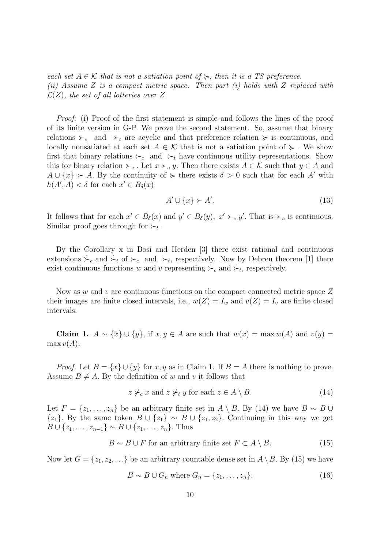each set  $A \in \mathcal{K}$  that is not a satiation point of  $\succeq$ , then it is a TS preference. (ii) Assume Z is a compact metric space. Then part (i) holds with Z replaced with  $\mathcal{L}(Z)$ , the set of all lotteries over Z.

Proof: (i) Proof of the first statement is simple and follows the lines of the proof of its finite version in G-P. We prove the second statement. So, assume that binary relations  $\succ_c$  and  $\succ_t$  are acyclic and that preference relation  $\succ$  is continuous, and locally nonsatiated at each set  $A \in \mathcal{K}$  that is not a satiation point of  $\succeq$ . We show first that binary relations  $\succ_c$  and  $\succ_t$  have continuous utility representations. Show this for binary relation  $\succ_c$ . Let  $x \succ_c y$ . Then there exists  $A \in \mathcal{K}$  such that  $y \in A$  and  $A \cup \{x\} \succ A$ . By the continuity of  $\succcurlyeq$  there exists  $\delta > 0$  such that for each A' with  $h(A', A) < \delta$  for each  $x' \in B_{\delta}(x)$ 

$$
A' \cup \{x\} \succ A'.\tag{13}
$$

It follows that for each  $x' \in B_\delta(x)$  and  $y' \in B_\delta(y)$ ,  $x' \succ_c y'$ . That is  $\succ_c$  is continuous. Similar proof goes through for  $\succ_t$ .

By the Corollary x in Bosi and Herden [3] there exist rational and continuous extensions  $\dot{\succ}_c$  and  $\dot{\succ}_t$  of  $\succ_c$  and  $\succ_t$ , respectively. Now by Debreu theorem [1] there exist continuous functions w and v representing  $\succ_c$  and  $\dot{\succ}_t$ , respectively.

Now as w and v are continuous functions on the compact connected metric space Z their images are finite closed intervals, i.e.,  $w(Z) = I_w$  and  $v(Z) = I_v$  are finite closed intervals.

Claim 1.  $A \sim \{x\} \cup \{y\}$ , if  $x, y \in A$  are such that  $w(x) = \max w(A)$  and  $v(y) =$  $\max v(A)$ .

*Proof.* Let  $B = \{x\} \cup \{y\}$  for  $x, y$  as in Claim 1. If  $B = A$  there is nothing to prove. Assume  $B \neq A$ . By the definition of w and v it follows that

$$
z \not\succ_c x \text{ and } z \not\succ_t y \text{ for each } z \in A \setminus B. \tag{14}
$$

Let  $F = \{z_1, \ldots, z_n\}$  be an arbitrary finite set in  $A \setminus B$ . By (14) we have  $B \sim B \cup$  $\{z_1\}$ . By the same token  $B \cup \{z_1\} \sim B \cup \{z_1, z_2\}$ . Continuing in this way we get  $B \cup \{z_1, \ldots, z_{n-1}\} \sim B \cup \{z_1, \ldots, z_n\}.$  Thus

$$
B \sim B \cup F
$$
 for an arbitrary finite set  $F \subset A \setminus B$ . (15)

Now let  $G = \{z_1, z_2, \ldots\}$  be an arbitrary countable dense set in  $A \setminus B$ . By (15) we have

$$
B \sim B \cup G_n \text{ where } G_n = \{z_1, \dots, z_n\}. \tag{16}
$$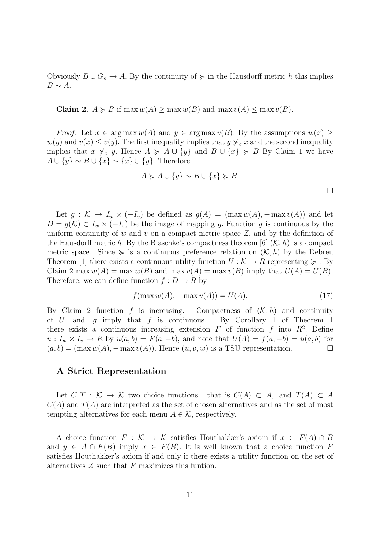Obviously  $B \cup G_n \to A$ . By the continuity of  $\succeq$  in the Hausdorff metric h this implies  $B \sim A$ .

**Claim 2.**  $A \ge B$  if  $\max w(A) \ge \max w(B)$  and  $\max v(A) \le \max v(B)$ .

*Proof.* Let  $x \in \arg \max w(A)$  and  $y \in \arg \max w(B)$ . By the assumptions  $w(x)$  $w(y)$  and  $v(x) \le v(y)$ . The first inequality implies that  $y \nless_{c} x$  and the second inequality implies that  $x \nless_t y$ . Hence  $A \succeq A \cup \{y\}$  and  $B \cup \{x\} \succeq B$  By Claim 1 we have  $A \cup \{y\} \sim B \cup \{x\} \sim \{x\} \cup \{y\}.$  Therefore

$$
A \succcurlyeq A \cup \{y\} \sim B \cup \{x\} \succcurlyeq B.
$$

Let  $g: \mathcal{K} \to I_w \times (-I_v)$  be defined as  $g(A) = (\max w(A), -\max v(A))$  and let  $D = g(\mathcal{K}) \subset I_w \times (-I_v)$  be the image of mapping g. Function g is continuous by the uniform continuity of w and v on a compact metric space  $Z$ , and by the definition of the Hausdorff metric h. By the Blaschke's compactness theorem [6]  $(K, h)$  is a compact metric space. Since  $\succeq$  is a continuous preference relation on  $(\mathcal{K}, h)$  by the Debreu Theorem [1] there exists a continuous utility function  $U : \mathcal{K} \to R$  representing  $\succeq$ . By Claim 2 max  $w(A) = \max w(B)$  and  $\max v(A) = \max v(B)$  imply that  $U(A) = U(B)$ . Therefore, we can define function  $f: D \to R$  by

$$
f(\max w(A), -\max v(A)) = U(A). \tag{17}
$$

By Claim 2 function f is increasing. Compactness of  $(K, h)$  and continuity of U and g imply that f is continuous. By Corollary 1 of Theorem 1 there exists a continuous increasing extension  $F$  of function  $f$  into  $R^2$ . Define  $u: I_w \times I_v \to R$  by  $u(a, b) = F(a, -b)$ , and note that  $U(A) = f(a, -b) = u(a, b)$  for  $(a, b) = (\max w(A), -\max v(A))$ . Hence  $(u, v, w)$  is a TSU representation.

## A Strict Representation

Let  $C, T : \mathcal{K} \to \mathcal{K}$  two choice functions. that is  $C(A) \subset A$ , and  $T(A) \subset A$  $C(A)$  and  $T(A)$  are interpreted as the set of chosen alternatives and as the set of most tempting alternatives for each menu  $A \in \mathcal{K}$ , respectively.

A choice function  $F : \mathcal{K} \to \mathcal{K}$  satisfies Houthakker's axiom if  $x \in F(A) \cap B$ and  $y \in A \cap F(B)$  imply  $x \in F(B)$ . It is well known that a choice function F satisfies Houthakker's axiom if and only if there exists a utility function on the set of alternatives  $Z$  such that  $F$  maximizes this funtion.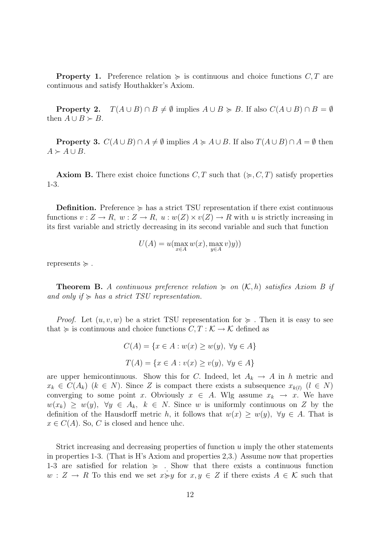**Property 1.** Preference relation  $\succeq$  is continuous and choice functions C, T are continuous and satisfy Houthakker's Axiom.

**Property 2.**  $T(A \cup B) \cap B \neq \emptyset$  implies  $A \cup B \ge B$ . If also  $C(A \cup B) \cap B = \emptyset$ then  $A \cup B \succ B$ .

**Property 3.**  $C(A \cup B) \cap A \neq \emptyset$  implies  $A \succcurlyeq A \cup B$ . If also  $T(A \cup B) \cap A = \emptyset$  then  $A \succ A \cup B$ .

**Axiom B.** There exist choice functions  $C, T$  such that  $(\succcurlyeq, C, T)$  satisfy properties 1-3.

**Definition.** Preference  $\succeq$  has a strict TSU representation if there exist continuous functions  $v: Z \to R$ ,  $w: Z \to R$ ,  $u: w(Z) \times v(Z) \to R$  with u is strictly increasing in its first variable and strictly decreasing in its second variable and such that function

$$
U(A) = u(\max_{x \in A} w(x), \max_{y \in A} v)y))
$$

represents  $\succeq$ .

**Theorem B.** A continuous preference relation  $\succeq$  on  $(\mathcal{K}, h)$  satisfies Axiom B if and only if  $\succeq$  has a strict TSU representation.

*Proof.* Let  $(u, v, w)$  be a strict TSU representation for  $\succeq$ . Then it is easy to see that  $\succcurlyeq$  is continuous and choice functions  $C, T : \mathcal{K} \to \mathcal{K}$  defined as

$$
C(A) = \{x \in A : w(x) \ge w(y), \ \forall y \in A\}
$$

$$
T(A) = \{x \in A : v(x) \ge v(y), \ \forall y \in A\}
$$

are upper hemicontinuous. Show this for C. Indeed, let  $A_k \to A$  in h metric and  $x_k \in C(A_k)$   $(k \in N)$ . Since Z is compact there exists a subsequence  $x_{k(l)}$   $(l \in N)$ converging to some point x. Obviously  $x \in A$ . Wlg assume  $x_k \to x$ . We have  $w(x_k) \geq w(y), \ \forall y \in A_k, \ k \in N.$  Since w is uniformly continuous on Z by the definition of the Hausdorff metric h, it follows that  $w(x) \geq w(y)$ ,  $\forall y \in A$ . That is  $x \in C(A)$ . So, C is closed and hence uhc.

Strict increasing and decreasing properties of function  $u$  imply the other statements in properties 1-3. (That is H's Axiom and properties 2,3.) Assume now that properties 1-3 are satisfied for relation  $\succ$ . Show that there exists a continuous function  $w: Z \to R$  To this end we set  $x \neq y$  for  $x, y \in Z$  if there exists  $A \in \mathcal{K}$  such that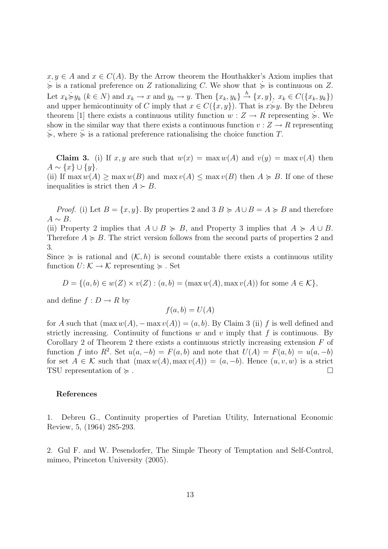$x, y \in A$  and  $x \in C(A)$ . By the Arrow theorem the Houthakker's Axiom implies that  $\geq$  is a rational preference on Z rationalizing C. We show that  $\geq$  is continuous on Z. Let  $x_k \neq y_k$   $(k \in N)$  and  $x_k \to x$  and  $y_k \to y$ . Then  $\{x_k, y_k\} \stackrel{h}{\to} \{x, y\}$ ,  $x_k \in C(\{x_k, y_k\})$ and upper hemicontinuity of C imply that  $x \in C({x, y})$ . That is  $x \geq y$ . By the Debreu theorem [1] there exists a continuous utility function  $w: Z \to R$  representing  $\geqslant$ . We show in the similar way that there exists a continuous function  $v : Z \to R$  representing  $\sum$ , where  $\sum$  is a rational preference rationalising the choice function T.

**Claim 3.** (i) If x, y are such that  $w(x) = \max w(A)$  and  $v(y) = \max v(A)$  then  $A \sim \{x\} \cup \{y\}.$ (ii) If max  $w(A) > \max w(B)$  and  $\max v(A) < \max v(B)$  then  $A \ge B$ . If one of these inequalities is strict then  $A \succ B$ .

*Proof.* (i) Let  $B = \{x, y\}$ . By properties 2 and 3  $B \succcurlyeq A \cup B = A \succcurlyeq B$  and therefore  $A \sim B$ .

(ii) Property 2 implies that  $A \cup B \ge B$ , and Property 3 implies that  $A \ge A \cup B$ . Therefore  $A \geq B$ . The strict version follows from the second parts of properties 2 and 3.

Since  $\succeq$  is rational and  $(\mathcal{K}, h)$  is second countable there exists a continuous utility function  $U: \mathcal{K} \to \mathcal{K}$  representing  $\succeq$ . Set

$$
D = \{(a, b) \in w(Z) \times v(Z) : (a, b) = (\max w(A), \max v(A)) \text{ for some } A \in \mathcal{K}\},\
$$

and define  $f: D \to R$  by

$$
f(a, b) = U(A)
$$

for A such that  $(\max w(A), -\max v(A)) = (a, b)$ . By Claim 3 (ii) f is well defined and strictly increasing. Continuity of functions  $w$  and  $v$  imply that  $f$  is continuous. By Corollary 2 of Theorem 2 there exists a continuous strictly increasing extension  $F$  of function f into R<sup>2</sup>. Set  $u(a, -b) = F(a, b)$  and note that  $U(A) = F(a, b) = u(a, -b)$ for set  $A \in \mathcal{K}$  such that  $(\max w(A), \max v(A)) = (a, -b)$ . Hence  $(u, v, w)$  is a strict TSU representation of  $\succcurlyeq$ .

### References

1. Debreu G., Continuity properties of Paretian Utility, International Economic Review, 5, (1964) 285-293.

2. Gul F. and W. Pesendorfer, The Simple Theory of Temptation and Self-Control, mimeo, Princeton University (2005).